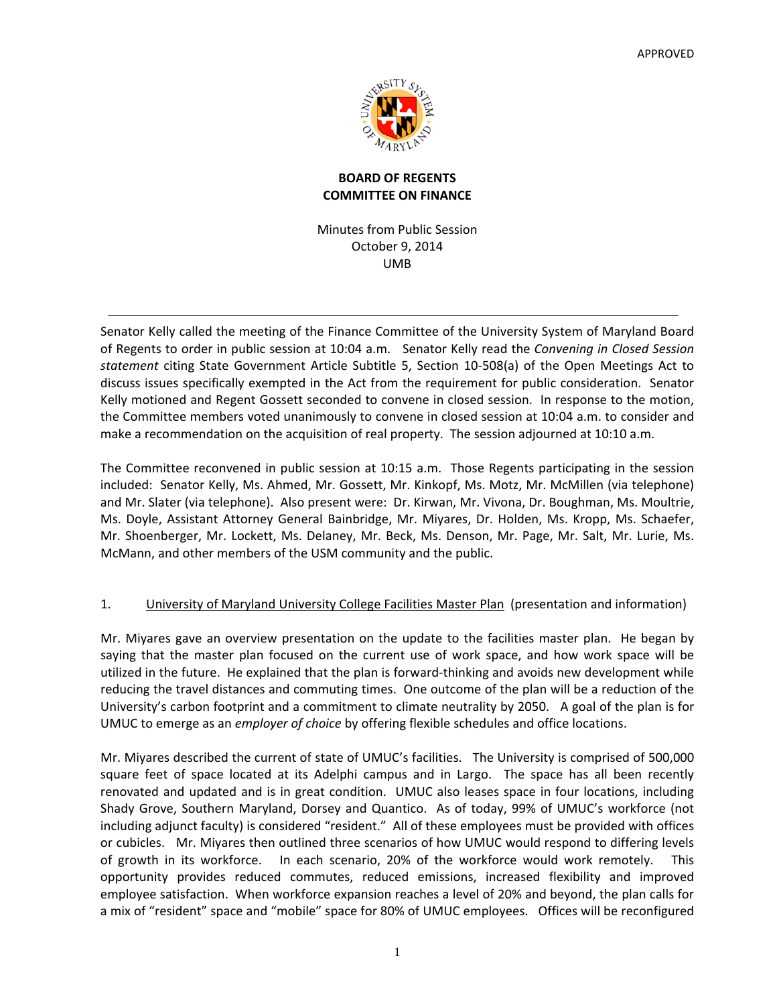

# **BOARD OF REGENTS COMMITTEE ON FINANCE**

Minutes from Public Session October 9, 2014 UMB

Senator Kelly called the meeting of the Finance Committee of the University System of Maryland Board of Regents to order in public session at 10:04 a.m. Senator Kelly read the *Convening in Closed Session statement* citing State Government Article Subtitle 5, Section 10‐508(a) of the Open Meetings Act to discuss issues specifically exempted in the Act from the requirement for public consideration. Senator Kelly motioned and Regent Gossett seconded to convene in closed session. In response to the motion, the Committee members voted unanimously to convene in closed session at 10:04 a.m. to consider and make a recommendation on the acquisition of real property. The session adjourned at 10:10 a.m.

The Committee reconvened in public session at 10:15 a.m. Those Regents participating in the session included: Senator Kelly, Ms. Ahmed, Mr. Gossett, Mr. Kinkopf, Ms. Motz, Mr. McMillen (via telephone) and Mr. Slater (via telephone). Also present were: Dr. Kirwan, Mr. Vivona, Dr. Boughman, Ms. Moultrie, Ms. Doyle, Assistant Attorney General Bainbridge, Mr. Miyares, Dr. Holden, Ms. Kropp, Ms. Schaefer, Mr. Shoenberger, Mr. Lockett, Ms. Delaney, Mr. Beck, Ms. Denson, Mr. Page, Mr. Salt, Mr. Lurie, Ms. McMann, and other members of the USM community and the public.

# 1. University of Maryland University College Facilities Master Plan (presentation and information)

Mr. Miyares gave an overview presentation on the update to the facilities master plan. He began by saying that the master plan focused on the current use of work space, and how work space will be utilized in the future. He explained that the plan is forward‐thinking and avoids new development while reducing the travel distances and commuting times. One outcome of the plan will be a reduction of the University's carbon footprint and a commitment to climate neutrality by 2050. A goal of the plan is for UMUC to emerge as an *employer of choice* by offering flexible schedules and office locations.

Mr. Miyares described the current of state of UMUC's facilities. The University is comprised of 500,000 square feet of space located at its Adelphi campus and in Largo. The space has all been recently renovated and updated and is in great condition. UMUC also leases space in four locations, including Shady Grove, Southern Maryland, Dorsey and Quantico. As of today, 99% of UMUC's workforce (not including adjunct faculty) is considered "resident." All of these employees must be provided with offices or cubicles. Mr. Miyares then outlined three scenarios of how UMUC would respond to differing levels of growth in its workforce. In each scenario, 20% of the workforce would work remotely. This opportunity provides reduced commutes, reduced emissions, increased flexibility and improved employee satisfaction. When workforce expansion reaches a level of 20% and beyond, the plan calls for a mix of "resident" space and "mobile" space for 80% of UMUC employees. Offices will be reconfigured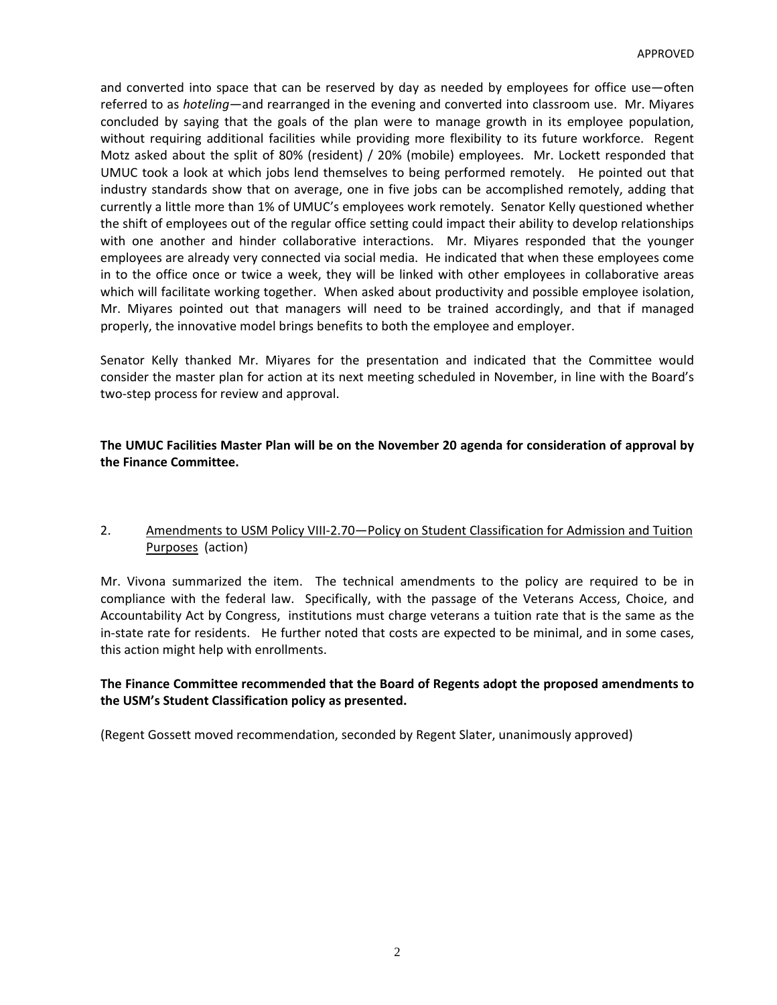and converted into space that can be reserved by day as needed by employees for office use—often referred to as *hoteling—*and rearranged in the evening and converted into classroom use. Mr. Miyares concluded by saying that the goals of the plan were to manage growth in its employee population, without requiring additional facilities while providing more flexibility to its future workforce. Regent Motz asked about the split of 80% (resident) / 20% (mobile) employees. Mr. Lockett responded that UMUC took a look at which jobs lend themselves to being performed remotely. He pointed out that industry standards show that on average, one in five jobs can be accomplished remotely, adding that currently a little more than 1% of UMUC's employees work remotely. Senator Kelly questioned whether the shift of employees out of the regular office setting could impact their ability to develop relationships with one another and hinder collaborative interactions. Mr. Miyares responded that the younger employees are already very connected via social media. He indicated that when these employees come in to the office once or twice a week, they will be linked with other employees in collaborative areas which will facilitate working together. When asked about productivity and possible employee isolation, Mr. Miyares pointed out that managers will need to be trained accordingly, and that if managed properly, the innovative model brings benefits to both the employee and employer.

Senator Kelly thanked Mr. Miyares for the presentation and indicated that the Committee would consider the master plan for action at its next meeting scheduled in November, in line with the Board's two‐step process for review and approval.

#### **The UMUC Facilities Master Plan will be on the November 20 agenda for consideration of approval by the Finance Committee.**

# 2. Amendments to USM Policy VIII-2.70 – Policy on Student Classification for Admission and Tuition Purposes (action)

Mr. Vivona summarized the item. The technical amendments to the policy are required to be in compliance with the federal law. Specifically, with the passage of the Veterans Access, Choice, and Accountability Act by Congress, institutions must charge veterans a tuition rate that is the same as the in‐state rate for residents. He further noted that costs are expected to be minimal, and in some cases, this action might help with enrollments.

### **The Finance Committee recommended that the Board of Regents adopt the proposed amendments to the USM's Student Classification policy as presented.**

(Regent Gossett moved recommendation, seconded by Regent Slater, unanimously approved)